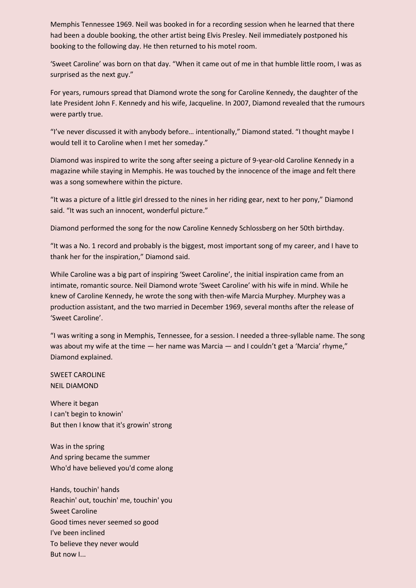Memphis Tennessee 1969. Neil was booked in for a recording session when he learned that there had been a double booking, the other artist being Elvis Presley. Neil immediately postponed his booking to the following day. He then returned to his motel room.

'Sweet Caroline' was born on that day. "When it came out of me in that humble little room, I was as surprised as the next guy."

For years, rumours spread that Diamond wrote the song for Caroline Kennedy, the daughter of the late President John F. Kennedy and his wife, Jacqueline. In 2007, Diamond revealed that the rumours were partly true.

"I've never discussed it with anybody before… intentionally," Diamond stated. "I thought maybe I would tell it to Caroline when I met her someday."

Diamond was inspired to write the song after seeing a picture of 9-year-old Caroline Kennedy in a magazine while staying in Memphis. He was touched by the innocence of the image and felt there was a song somewhere within the picture.

"It was a picture of a little girl dressed to the nines in her riding gear, next to her pony," Diamond said. "It was such an innocent, wonderful picture."

Diamond performed the song for the now Caroline Kennedy Schlossberg on her 50th birthday.

"It was a No. 1 record and probably is the biggest, most important song of my career, and I have to thank her for the inspiration," Diamond said.

While Caroline was a big part of inspiring 'Sweet Caroline', the initial inspiration came from an intimate, romantic source. Neil Diamond wrote 'Sweet Caroline' with his wife in mind. While he knew of Caroline Kennedy, he wrote the song with then-wife Marcia Murphey. Murphey was a production assistant, and the two married in December 1969, several months after the release of 'Sweet Caroline'.

"I was writing a song in Memphis, Tennessee, for a session. I needed a three-syllable name. The song was about my wife at the time — her name was Marcia — and I couldn't get a 'Marcia' rhyme," Diamond explained.

SWEET CAROLINE NEIL DIAMOND

Where it began I can't begin to knowin' But then I know that it's growin' strong

Was in the spring And spring became the summer Who'd have believed you'd come along

Hands, touchin' hands Reachin' out, touchin' me, touchin' you Sweet Caroline Good times never seemed so good I've been inclined To believe they never would But now I...